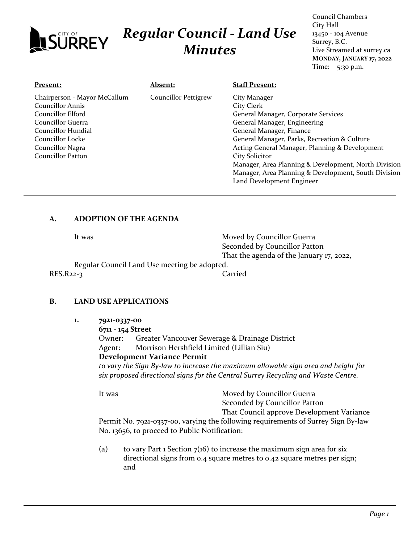### City Hall *Regular Council - Land Use* 13450 - 104 Avenue **JSÜRREY** Surrey, B.C. *Minutes* Live Streamed at surrey.ca **MONDAY, JANUARY 17, 2022** Time: 5:30 p.m. **Absent: Staff Present: Present:** Chairperson - Mayor McCallum Councillor Pettigrew City Manager Councillor Annis City Clerk Councillor Elford General Manager, Corporate Services Councillor Guerra

# General Manager, Engineering General Manager, Finance General Manager, Parks, Recreation & Culture Acting General Manager, Planning & Development City Solicitor Manager, Area Planning & Development, North Division Manager, Area Planning & Development, South Division Land Development Engineer

Council Chambers

## **A. ADOPTION OF THE AGENDA**

It was **Moved by Councillor Guerra** Seconded by Councillor Patton That the agenda of the January 17, 2022,

Regular Council Land Use meeting be adopted. RES.R22-3 Carried

Councillor Hundial Councillor Locke Councillor Nagra Councillor Patton

# **B. LAND USE APPLICATIONS**

- **1. 7921-0337-00**
	- **6711 - 154 Street**

Owner: Greater Vancouver Sewerage & Drainage District Agent: Morrison Hershfield Limited (Lillian Siu) **Development Variance Permit**

*to vary the Sign By-law to increase the maximum allowable sign area and height for six proposed directional signs for the Central Surrey Recycling and Waste Centre.*

It was Moved by Councillor Guerra Seconded by Councillor Patton

That Council approve Development Variance

Permit No. 7921-0337-00, varying the following requirements of Surrey Sign By-law No. 13656, to proceed to Public Notification:

(a) to vary Part 1 Section  $7(16)$  to increase the maximum sign area for six directional signs from 0.4 square metres to 0.42 square metres per sign; and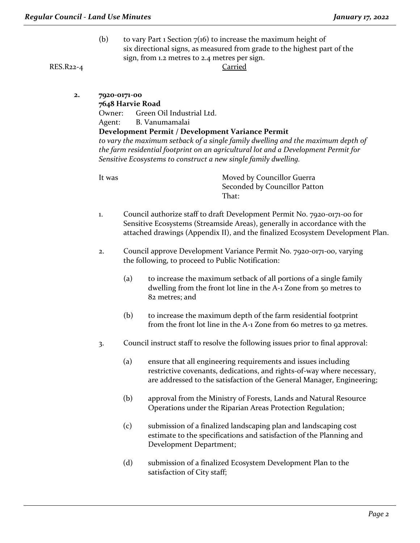(b) to vary Part 1 Section  $7(16)$  to increase the maximum height of six directional signs, as measured from grade to the highest part of the sign, from 1.2 metres to 2.4 metres per sign.

RES.R22-4 Carried

**2. 7920-0171-00**

**7648 Harvie Road**

Owner: Green Oil Industrial Ltd.

Agent: B. Vanumamalai

### **Development Permit / Development Variance Permit**

*to vary the maximum setback of a single family dwelling and the maximum depth of the farm residential footprint on an agricultural lot and a Development Permit for Sensitive Ecosystems to construct a new single family dwelling.*

It was **Moved by Councillor Guerra** Seconded by Councillor Patton That:

- 1. Council authorize staff to draft Development Permit No. 7920-0171-00 for Sensitive Ecosystems (Streamside Areas), generally in accordance with the attached drawings (Appendix II), and the finalized Ecosystem Development Plan.
- 2. Council approve Development Variance Permit No. 7920-0171-00, varying the following, to proceed to Public Notification:
	- (a) to increase the maximum setback of all portions of a single family dwelling from the front lot line in the A-1 Zone from 50 metres to 82 metres; and
	- (b) to increase the maximum depth of the farm residential footprint from the front lot line in the A-1 Zone from 60 metres to 92 metres.
- 3. Council instruct staff to resolve the following issues prior to final approval:
	- (a) ensure that all engineering requirements and issues including restrictive covenants, dedications, and rights-of-way where necessary, are addressed to the satisfaction of the General Manager, Engineering;
	- (b) approval from the Ministry of Forests, Lands and Natural Resource Operations under the Riparian Areas Protection Regulation;
	- (c) submission of a finalized landscaping plan and landscaping cost estimate to the specifications and satisfaction of the Planning and Development Department;
	- (d) submission of a finalized Ecosystem Development Plan to the satisfaction of City staff;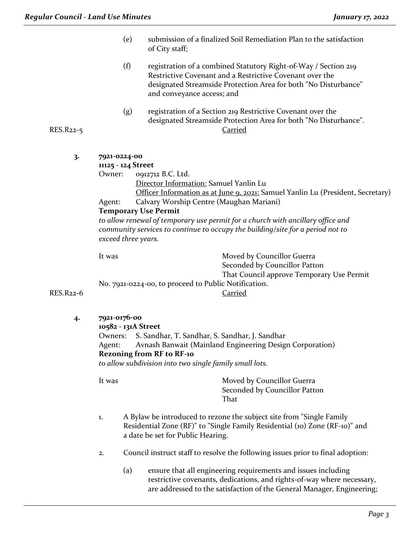|           | (e)                                                                                                   | submission of a finalized Soil Remediation Plan to the satisfaction<br>of City staff;                                                                                                                                        |  |  |
|-----------|-------------------------------------------------------------------------------------------------------|------------------------------------------------------------------------------------------------------------------------------------------------------------------------------------------------------------------------------|--|--|
|           | (f)                                                                                                   | registration of a combined Statutory Right-of-Way / Section 219<br>Restrictive Covenant and a Restrictive Covenant over the<br>designated Streamside Protection Area for both "No Disturbance"<br>and conveyance access; and |  |  |
| RES.R22-5 | (g)                                                                                                   | registration of a Section 219 Restrictive Covenant over the<br>designated Streamside Protection Area for both "No Disturbance".<br><b>Carried</b>                                                                            |  |  |
|           |                                                                                                       |                                                                                                                                                                                                                              |  |  |
| 3.        | 7921-0224-00<br>11125 - 124 Street                                                                    |                                                                                                                                                                                                                              |  |  |
|           | Owner:                                                                                                | 0912712 B.C. Ltd.                                                                                                                                                                                                            |  |  |
|           |                                                                                                       | Director Information: Samuel Yanlin Lu                                                                                                                                                                                       |  |  |
|           |                                                                                                       | Officer Information as at June 9, 2021: Samuel Yanlin Lu (President, Secretary)                                                                                                                                              |  |  |
|           | Agent:                                                                                                | Calvary Worship Centre (Maughan Mariani)                                                                                                                                                                                     |  |  |
|           | <b>Temporary Use Permit</b>                                                                           |                                                                                                                                                                                                                              |  |  |
|           | to allow renewal of temporary use permit for a church with ancillary office and                       |                                                                                                                                                                                                                              |  |  |
|           | community services to continue to occupy the building/site for a period not to<br>exceed three years. |                                                                                                                                                                                                                              |  |  |
|           |                                                                                                       |                                                                                                                                                                                                                              |  |  |
|           | It was                                                                                                | Moved by Councillor Guerra                                                                                                                                                                                                   |  |  |
|           |                                                                                                       | Seconded by Councillor Patton                                                                                                                                                                                                |  |  |
|           |                                                                                                       | That Council approve Temporary Use Permit                                                                                                                                                                                    |  |  |
| RES.R22-6 |                                                                                                       | No. 7921-0224-00, to proceed to Public Notification.<br>Carried                                                                                                                                                              |  |  |
|           |                                                                                                       |                                                                                                                                                                                                                              |  |  |
| 4·        | 7921-0176-00                                                                                          |                                                                                                                                                                                                                              |  |  |
|           | 10582 - 131A Street                                                                                   | Owners: S. Sandhar, T. Sandhar, S. Sandhar, J. Sandhar                                                                                                                                                                       |  |  |
|           | Agent:                                                                                                | Avnash Banwait (Mainland Engineering Design Corporation)                                                                                                                                                                     |  |  |
|           | <b>Rezoning from RF to RF-10</b>                                                                      |                                                                                                                                                                                                                              |  |  |
|           |                                                                                                       | to allow subdivision into two single family small lots.                                                                                                                                                                      |  |  |
|           | It was                                                                                                | Moved by Councillor Guerra                                                                                                                                                                                                   |  |  |
|           |                                                                                                       | Seconded by Councillor Patton                                                                                                                                                                                                |  |  |
|           |                                                                                                       | That                                                                                                                                                                                                                         |  |  |
|           | 1.                                                                                                    | A Bylaw be introduced to rezone the subject site from "Single Family                                                                                                                                                         |  |  |
|           |                                                                                                       | Residential Zone (RF)" to "Single Family Residential (10) Zone (RF-10)" and                                                                                                                                                  |  |  |
|           |                                                                                                       | a date be set for Public Hearing.                                                                                                                                                                                            |  |  |
|           | 2.                                                                                                    | Council instruct staff to resolve the following issues prior to final adoption:                                                                                                                                              |  |  |
|           |                                                                                                       |                                                                                                                                                                                                                              |  |  |

(a) ensure that all engineering requirements and issues including restrictive covenants, dedications, and rights-of-way where necessary, are addressed to the satisfaction of the General Manager, Engineering;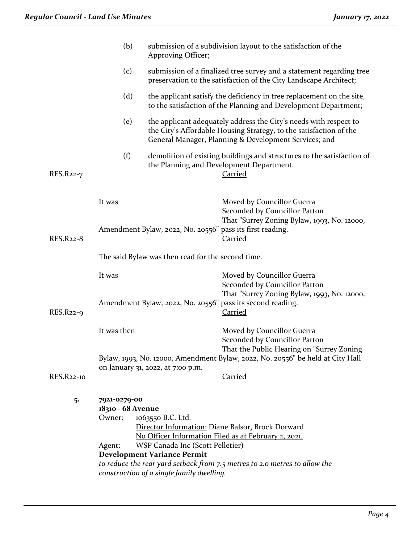|                   | (b)                                                   | Approving Officer;                                                                                                                        | submission of a subdivision layout to the satisfaction of the                                                                                                                                    |  |
|-------------------|-------------------------------------------------------|-------------------------------------------------------------------------------------------------------------------------------------------|--------------------------------------------------------------------------------------------------------------------------------------------------------------------------------------------------|--|
|                   | (c)                                                   | submission of a finalized tree survey and a statement regarding tree<br>preservation to the satisfaction of the City Landscape Architect; |                                                                                                                                                                                                  |  |
|                   | (d)                                                   |                                                                                                                                           | the applicant satisfy the deficiency in tree replacement on the site,<br>to the satisfaction of the Planning and Development Department;                                                         |  |
|                   | (e)                                                   |                                                                                                                                           | the applicant adequately address the City's needs with respect to<br>the City's Affordable Housing Strategy, to the satisfaction of the<br>General Manager, Planning & Development Services; and |  |
| RES.R22-7         | (f)                                                   |                                                                                                                                           | demolition of existing buildings and structures to the satisfaction of<br>the Planning and Development Department.<br><b>Carried</b>                                                             |  |
| <b>RES.R22-8</b>  | It was                                                | Amendment Bylaw, 2022, No. 20556" pass its first reading.                                                                                 | Moved by Councillor Guerra<br>Seconded by Councillor Patton<br>That "Surrey Zoning Bylaw, 1993, No. 12000,<br><b>Carried</b>                                                                     |  |
|                   | The said Bylaw was then read for the second time.     |                                                                                                                                           |                                                                                                                                                                                                  |  |
| RES.R22-9         | It was                                                |                                                                                                                                           | Moved by Councillor Guerra<br>Seconded by Councillor Patton<br>That "Surrey Zoning Bylaw, 1993, No. 12000,<br>Amendment Bylaw, 2022, No. 20556" pass its second reading.<br><u>Carried</u>       |  |
|                   | It was then                                           |                                                                                                                                           | Moved by Councillor Guerra<br>Seconded by Councillor Patton<br>That the Public Hearing on "Surrey Zoning<br>Bylaw, 1993, No. 12000, Amendment Bylaw, 2022, No. 20556" be held at City Hall       |  |
| <b>RES.R22-10</b> |                                                       | on January 31, 2022, at 7:00 p.m.                                                                                                         | <b>Carried</b>                                                                                                                                                                                   |  |
| 5.                | 7921-0279-00<br>18310 - 68 Avenue<br>Owner:<br>Agent: | 1063550 B.C. Ltd.<br>WSP Canada Inc (Scott Pelletier)<br><b>Development Variance Permit</b>                                               | Director Information: Diane Balsor, Brock Dorward<br>No Officer Information Filed as at February 2, 2021.<br>to reduce the rear yard setback from 7.5 metres to 2.0 metres to allow the          |  |
|                   | construction of a single family dwelling.             |                                                                                                                                           |                                                                                                                                                                                                  |  |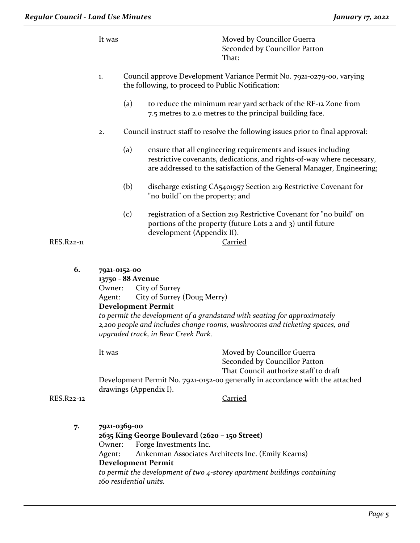|                   | It was                                                |     | Moved by Councillor Guerra<br>Seconded by Councillor Patton<br>That:                                                                                                                                              |
|-------------------|-------------------------------------------------------|-----|-------------------------------------------------------------------------------------------------------------------------------------------------------------------------------------------------------------------|
|                   | 1.                                                    |     | Council approve Development Variance Permit No. 7921-0279-00, varying<br>the following, to proceed to Public Notification:                                                                                        |
|                   |                                                       | (a) | to reduce the minimum rear yard setback of the RF-12 Zone from<br>7.5 metres to 2.0 metres to the principal building face.                                                                                        |
|                   | 2.                                                    |     | Council instruct staff to resolve the following issues prior to final approval:                                                                                                                                   |
|                   |                                                       | (a) | ensure that all engineering requirements and issues including<br>restrictive covenants, dedications, and rights-of-way where necessary,<br>are addressed to the satisfaction of the General Manager, Engineering; |
|                   |                                                       | (b) | discharge existing CA5401957 Section 219 Restrictive Covenant for<br>"no build" on the property; and                                                                                                              |
| <b>RES.R22-11</b> |                                                       | (c) | registration of a Section 219 Restrictive Covenant for "no build" on<br>portions of the property (future Lots 2 and 3) until future<br>development (Appendix II).<br><b>Carried</b>                               |
| 6.                | 7921-0152-00<br>13750 - 88 Avenue<br>Owner:<br>Agent: |     | City of Surrey<br>City of Surrey (Doug Merry)                                                                                                                                                                     |
|                   |                                                       |     | <b>Development Permit</b>                                                                                                                                                                                         |

*to permit the development of a grandstand with seating for approximately 2,200 people and includes change rooms, washrooms and ticketing spaces, and upgraded track, in Bear Creek Park.*

It was **Moved by Councillor Guerra** 

Seconded by Councillor Patton That Council authorize staff to draft

Development Permit No. 7921-0152-00 generally in accordance with the attached drawings (Appendix I).

### RES.R22-12 Carried

### **7. 7921-0369-00**

**2635 King George Boulevard (2620 – 150 Street)** Owner: Forge Investments Inc. Agent: Ankenman Associates Architects Inc. (Emily Kearns) **Development Permit** *to permit the development of two 4-storey apartment buildings containing 160 residential units.*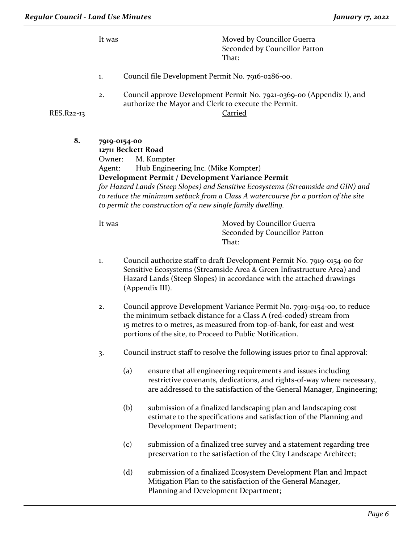It was Moved by Councillor Guerra Seconded by Councillor Patton That:

- 1. Council file Development Permit No. 7916-0286-00.
- 2. Council approve Development Permit No. 7921-0369-00 (Appendix I), and authorize the Mayor and Clerk to execute the Permit.

### RES.R22-13 Carried

**8. 7919-0154-00 12711 Beckett Road** Owner: M. Kompter Agent: Hub Engineering Inc. (Mike Kompter) **Development Permit / Development Variance Permit** *for Hazard Lands (Steep Slopes) and Sensitive Ecosystems (Streamside and GIN) and to reduce the minimum setback from a Class A watercourse for a portion of the site to permit the construction of a new single family dwelling.* 

It was Moved by Councillor Guerra Seconded by Councillor Patton That:

- 1. Council authorize staff to draft Development Permit No. 7919-0154-00 for Sensitive Ecosystems (Streamside Area & Green Infrastructure Area) and Hazard Lands (Steep Slopes) in accordance with the attached drawings (Appendix III).
- 2. Council approve Development Variance Permit No. 7919-0154-00, to reduce the minimum setback distance for a Class A (red-coded) stream from 15 metres to 0 metres, as measured from top-of-bank, for east and west portions of the site, to Proceed to Public Notification.
- 3. Council instruct staff to resolve the following issues prior to final approval:
	- (a) ensure that all engineering requirements and issues including restrictive covenants, dedications, and rights-of-way where necessary, are addressed to the satisfaction of the General Manager, Engineering;
	- (b) submission of a finalized landscaping plan and landscaping cost estimate to the specifications and satisfaction of the Planning and Development Department;
	- (c) submission of a finalized tree survey and a statement regarding tree preservation to the satisfaction of the City Landscape Architect;
	- (d) submission of a finalized Ecosystem Development Plan and Impact Mitigation Plan to the satisfaction of the General Manager, Planning and Development Department;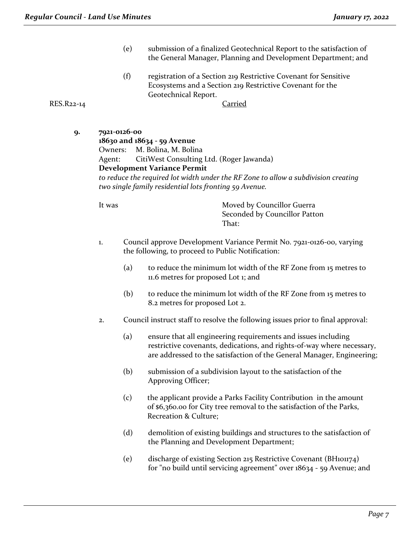- (e) submission of a finalized Geotechnical Report to the satisfaction of the General Manager, Planning and Development Department; and
- (f) registration of a Section 219 Restrictive Covenant for Sensitive Ecosystems and a Section 219 Restrictive Covenant for the Geotechnical Report.

RES.R22-14 Carried

**9. 7921-0126-00 18630 and 18634 - 59 Avenue** Owners: M. Bolina, M. Bolina Agent: CitiWest Consulting Ltd. (Roger Jawanda) **Development Variance Permit** *to reduce the required lot width under the RF Zone to allow a subdivision creating two single family residential lots fronting 59 Avenue.*

It was **Moved by Councillor Guerra** Seconded by Councillor Patton That:

- 1. Council approve Development Variance Permit No. 7921-0126-00, varying the following, to proceed to Public Notification:
	- (a) to reduce the minimum lot width of the RF Zone from 15 metres to 11.6 metres for proposed Lot 1; and
	- (b) to reduce the minimum lot width of the RF Zone from 15 metres to 8.2 metres for proposed Lot 2.
- 2. Council instruct staff to resolve the following issues prior to final approval:
	- (a) ensure that all engineering requirements and issues including restrictive covenants, dedications, and rights-of-way where necessary, are addressed to the satisfaction of the General Manager, Engineering;
	- (b) submission of a subdivision layout to the satisfaction of the Approving Officer;
	- (c) the applicant provide a Parks Facility Contribution in the amount of \$6,360.00 for City tree removal to the satisfaction of the Parks, Recreation & Culture;
	- (d) demolition of existing buildings and structures to the satisfaction of the Planning and Development Department;
	- (e) discharge of existing Section 215 Restrictive Covenant (BH101174) for "no build until servicing agreement" over 18634 - 59 Avenue; and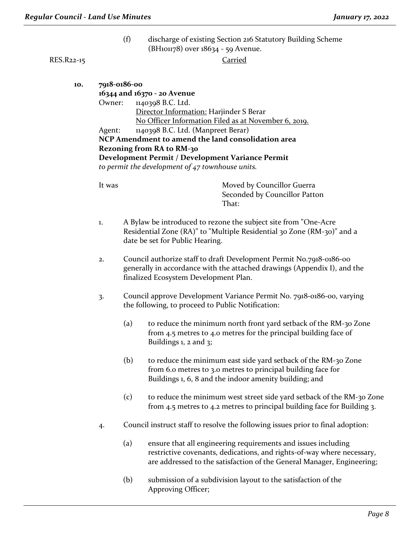(f) discharge of existing Section 216 Statutory Building Scheme (BH101178) over 18634 - 59 Avenue.

## RES.R22-15 Carried

| 10. |        | 7918-0186-00                                                                    |                                                                          |  |  |  |  |
|-----|--------|---------------------------------------------------------------------------------|--------------------------------------------------------------------------|--|--|--|--|
|     |        | 16344 and 16370 - 20 Avenue                                                     |                                                                          |  |  |  |  |
|     | Owner: |                                                                                 | 1140398 B.C. Ltd.                                                        |  |  |  |  |
|     |        | Director Information: Harjinder S Berar                                         |                                                                          |  |  |  |  |
|     |        | No Officer Information Filed as at November 6, 2019.                            |                                                                          |  |  |  |  |
|     | Agent: |                                                                                 | 1140398 B.C. Ltd. (Manpreet Berar)                                       |  |  |  |  |
|     |        |                                                                                 | NCP Amendment to amend the land consolidation area                       |  |  |  |  |
|     |        |                                                                                 | <b>Rezoning from RA to RM-30</b>                                         |  |  |  |  |
|     |        |                                                                                 | Development Permit / Development Variance Permit                         |  |  |  |  |
|     |        |                                                                                 | to permit the development of $47$ townhouse units.                       |  |  |  |  |
|     |        |                                                                                 |                                                                          |  |  |  |  |
|     | It was |                                                                                 | Moved by Councillor Guerra                                               |  |  |  |  |
|     |        |                                                                                 | Seconded by Councillor Patton                                            |  |  |  |  |
|     |        |                                                                                 | That:                                                                    |  |  |  |  |
|     |        |                                                                                 |                                                                          |  |  |  |  |
|     | 1.     |                                                                                 | A Bylaw be introduced to rezone the subject site from "One-Acre"         |  |  |  |  |
|     |        |                                                                                 | Residential Zone (RA)" to "Multiple Residential 30 Zone (RM-30)" and a   |  |  |  |  |
|     |        |                                                                                 | date be set for Public Hearing.                                          |  |  |  |  |
|     | 2.     |                                                                                 | Council authorize staff to draft Development Permit No.7918-0186-00      |  |  |  |  |
|     |        |                                                                                 |                                                                          |  |  |  |  |
|     |        | generally in accordance with the attached drawings (Appendix I), and the        |                                                                          |  |  |  |  |
|     |        | finalized Ecosystem Development Plan.                                           |                                                                          |  |  |  |  |
|     | 3.     | Council approve Development Variance Permit No. 7918-0186-00, varying           |                                                                          |  |  |  |  |
|     |        | the following, to proceed to Public Notification:                               |                                                                          |  |  |  |  |
|     |        |                                                                                 |                                                                          |  |  |  |  |
|     |        | (a)                                                                             | to reduce the minimum north front yard setback of the RM-30 Zone         |  |  |  |  |
|     |        |                                                                                 | from 4.5 metres to 4.0 metres for the principal building face of         |  |  |  |  |
|     |        |                                                                                 | Buildings $1$ , $2$ and $3$ ;                                            |  |  |  |  |
|     |        |                                                                                 |                                                                          |  |  |  |  |
|     |        | (b)                                                                             | to reduce the minimum east side yard setback of the RM-30 Zone           |  |  |  |  |
|     |        |                                                                                 | from 6.0 metres to 3.0 metres to principal building face for             |  |  |  |  |
|     |        |                                                                                 | Buildings 1, 6, 8 and the indoor amenity building; and                   |  |  |  |  |
|     |        | (c)                                                                             | to reduce the minimum west street side yard setback of the RM-30 Zone    |  |  |  |  |
|     |        |                                                                                 | from 4.5 metres to 4.2 metres to principal building face for Building 3. |  |  |  |  |
|     |        |                                                                                 |                                                                          |  |  |  |  |
|     | 4.     | Council instruct staff to resolve the following issues prior to final adoption: |                                                                          |  |  |  |  |
|     |        |                                                                                 |                                                                          |  |  |  |  |
|     |        | (a)                                                                             | ensure that all engineering requirements and issues including            |  |  |  |  |
|     |        |                                                                                 | restrictive covenants, dedications, and rights-of-way where necessary,   |  |  |  |  |
|     |        |                                                                                 | are addressed to the satisfaction of the General Manager, Engineering;   |  |  |  |  |
|     |        |                                                                                 |                                                                          |  |  |  |  |
|     |        |                                                                                 |                                                                          |  |  |  |  |

(b) submission of a subdivision layout to the satisfaction of the Approving Officer;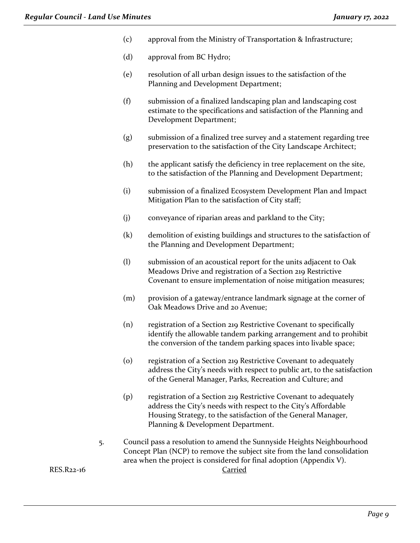- (c) approval from the Ministry of Transportation & Infrastructure;
- (d) approval from BC Hydro;
- (e) resolution of all urban design issues to the satisfaction of the Planning and Development Department;
- (f) submission of a finalized landscaping plan and landscaping cost estimate to the specifications and satisfaction of the Planning and Development Department;
- (g) submission of a finalized tree survey and a statement regarding tree preservation to the satisfaction of the City Landscape Architect;
- (h) the applicant satisfy the deficiency in tree replacement on the site, to the satisfaction of the Planning and Development Department;
- (i) submission of a finalized Ecosystem Development Plan and Impact Mitigation Plan to the satisfaction of City staff;
- (j) conveyance of riparian areas and parkland to the City;
- (k) demolition of existing buildings and structures to the satisfaction of the Planning and Development Department;
- (l) submission of an acoustical report for the units adjacent to Oak Meadows Drive and registration of a Section 219 Restrictive Covenant to ensure implementation of noise mitigation measures;
- (m) provision of a gateway/entrance landmark signage at the corner of Oak Meadows Drive and 20 Avenue;
- (n) registration of a Section 219 Restrictive Covenant to specifically identify the allowable tandem parking arrangement and to prohibit the conversion of the tandem parking spaces into livable space;
- (o) registration of a Section 219 Restrictive Covenant to adequately address the City's needs with respect to public art, to the satisfaction of the General Manager, Parks, Recreation and Culture; and
- (p) registration of a Section 219 Restrictive Covenant to adequately address the City's needs with respect to the City's Affordable Housing Strategy, to the satisfaction of the General Manager, Planning & Development Department.
- 5. Council pass a resolution to amend the Sunnyside Heights Neighbourhood Concept Plan (NCP) to remove the subject site from the land consolidation area when the project is considered for final adoption (Appendix V).

RES.R22-16 Carried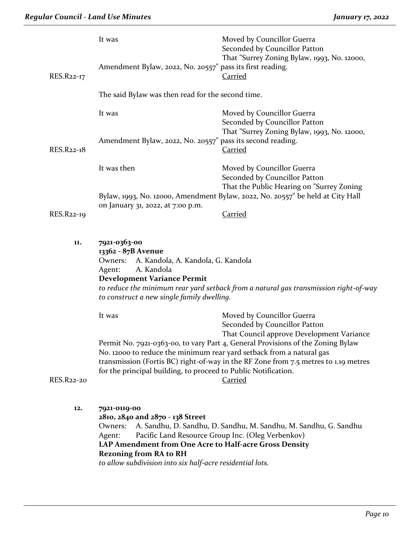| RES.R22-17 | It was<br>Amendment Bylaw, 2022, No. 20557" pass its first reading.                                                                                                                                                                                                                                              | Moved by Councillor Guerra<br>Seconded by Councillor Patton<br>That "Surrey Zoning Bylaw, 1993, No. 12000,<br><b>Carried</b> |  |  |
|------------|------------------------------------------------------------------------------------------------------------------------------------------------------------------------------------------------------------------------------------------------------------------------------------------------------------------|------------------------------------------------------------------------------------------------------------------------------|--|--|
|            | The said Bylaw was then read for the second time.                                                                                                                                                                                                                                                                |                                                                                                                              |  |  |
|            | It was                                                                                                                                                                                                                                                                                                           | Moved by Councillor Guerra<br>Seconded by Councillor Patton                                                                  |  |  |
| RES.R22-18 | Amendment Bylaw, 2022, No. 20557" pass its second reading.                                                                                                                                                                                                                                                       | That "Surrey Zoning Bylaw, 1993, No. 12000,<br><b>Carried</b>                                                                |  |  |
|            | It was then                                                                                                                                                                                                                                                                                                      | Moved by Councillor Guerra<br>Seconded by Councillor Patton                                                                  |  |  |
|            |                                                                                                                                                                                                                                                                                                                  | That the Public Hearing on "Surrey Zoning<br>Bylaw, 1993, No. 12000, Amendment Bylaw, 2022, No. 20557" be held at City Hall  |  |  |
| RES.R22-19 | on January 31, 2022, at 7:00 p.m.                                                                                                                                                                                                                                                                                | Carried                                                                                                                      |  |  |
| 11.        | 7921-0363-00<br>13362 - 87B Avenue<br>A. Kandola, A. Kandola, G. Kandola<br>Owners:<br>A. Kandola<br>Agent:<br><b>Development Variance Permit</b><br>to construct a new single family dwelling.                                                                                                                  | to reduce the minimum rear yard setback from a natural gas transmission right-of-way                                         |  |  |
|            | It was                                                                                                                                                                                                                                                                                                           | Moved by Councillor Guerra<br>Seconded by Councillor Patton<br>That Council approve Development Variance                     |  |  |
|            | Permit No. 7921-0363-00, to vary Part 4, General Provisions of the Zoning Bylaw<br>No. 12000 to reduce the minimum rear yard setback from a natural gas<br>transmission (Fortis BC) right-of-way in the RF Zone from 7.5 metres to 1.19 metres<br>for the principal building, to proceed to Public Notification. |                                                                                                                              |  |  |
| RES.R22-20 |                                                                                                                                                                                                                                                                                                                  | <b>Carried</b>                                                                                                               |  |  |
| 12.        | 7921-0119-00                                                                                                                                                                                                                                                                                                     |                                                                                                                              |  |  |

**LAP Amendment from One Acre to Half-acre Gross Density Rezoning from RA to RH**

*to allow subdivision into six half-acre residential lots.*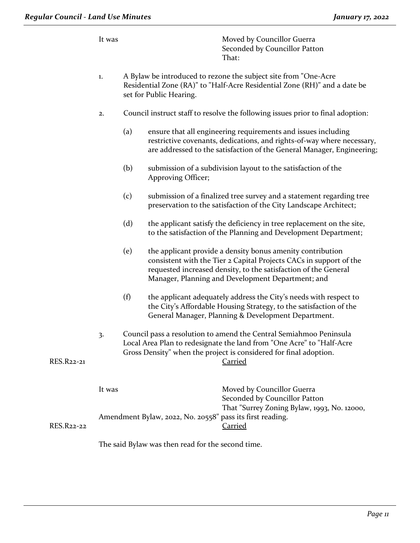|            | It was |                                                                                                                                                                                                                             | Moved by Councillor Guerra<br>Seconded by Councillor Patton<br>That:                                                                                                                                                                                     |
|------------|--------|-----------------------------------------------------------------------------------------------------------------------------------------------------------------------------------------------------------------------------|----------------------------------------------------------------------------------------------------------------------------------------------------------------------------------------------------------------------------------------------------------|
|            | $1.$   | A Bylaw be introduced to rezone the subject site from "One-Acre<br>Residential Zone (RA)" to "Half-Acre Residential Zone (RH)" and a date be<br>set for Public Hearing.                                                     |                                                                                                                                                                                                                                                          |
|            | 2.     |                                                                                                                                                                                                                             | Council instruct staff to resolve the following issues prior to final adoption:                                                                                                                                                                          |
|            |        | (a)                                                                                                                                                                                                                         | ensure that all engineering requirements and issues including<br>restrictive covenants, dedications, and rights-of-way where necessary,<br>are addressed to the satisfaction of the General Manager, Engineering;                                        |
|            |        | (b)                                                                                                                                                                                                                         | submission of a subdivision layout to the satisfaction of the<br>Approving Officer;                                                                                                                                                                      |
|            |        | (c)                                                                                                                                                                                                                         | submission of a finalized tree survey and a statement regarding tree<br>preservation to the satisfaction of the City Landscape Architect;                                                                                                                |
|            |        | (d)                                                                                                                                                                                                                         | the applicant satisfy the deficiency in tree replacement on the site,<br>to the satisfaction of the Planning and Development Department;                                                                                                                 |
|            |        | (e)                                                                                                                                                                                                                         | the applicant provide a density bonus amenity contribution<br>consistent with the Tier 2 Capital Projects CACs in support of the<br>requested increased density, to the satisfaction of the General<br>Manager, Planning and Development Department; and |
|            |        | (f)                                                                                                                                                                                                                         | the applicant adequately address the City's needs with respect to<br>the City's Affordable Housing Strategy, to the satisfaction of the<br>General Manager, Planning & Development Department.                                                           |
| RES.R22-21 | 3.     | Council pass a resolution to amend the Central Semiahmoo Peninsula<br>Local Area Plan to redesignate the land from "One Acre" to "Half-Acre<br>Gross Density" when the project is considered for final adoption.<br>Carried |                                                                                                                                                                                                                                                          |
|            | It was |                                                                                                                                                                                                                             | Moved by Councillor Guerra<br>Seconded by Councillor Patton<br>That "Surrey Zoning Bylaw, 1993, No. 12000,<br>Amendment Bylaw, 2022, No. 20558" pass its first reading.                                                                                  |
| RES.R22-22 |        |                                                                                                                                                                                                                             | <b>Carried</b><br>The said Bylaw was then read for the second time.                                                                                                                                                                                      |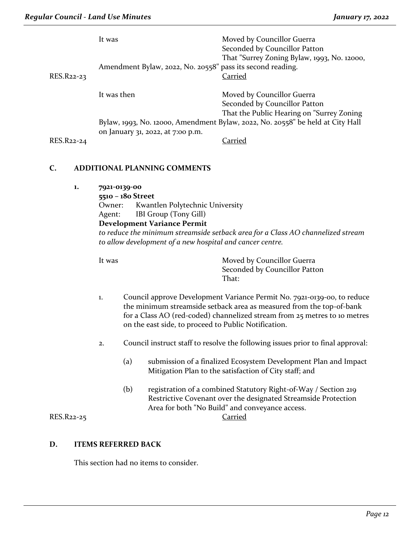|            | It was<br>Moved by Councillor Guerra<br>Seconded by Councillor Patton                                                                                                                                                                                                                      |                                                      |                                                                                                                                                                                                        |  |  |
|------------|--------------------------------------------------------------------------------------------------------------------------------------------------------------------------------------------------------------------------------------------------------------------------------------------|------------------------------------------------------|--------------------------------------------------------------------------------------------------------------------------------------------------------------------------------------------------------|--|--|
| RES.R22-23 | That "Surrey Zoning Bylaw, 1993, No. 12000,<br>Amendment Bylaw, 2022, No. 20558" pass its second reading.<br><b>Carried</b>                                                                                                                                                                |                                                      |                                                                                                                                                                                                        |  |  |
|            | It was then                                                                                                                                                                                                                                                                                |                                                      | Moved by Councillor Guerra<br>Seconded by Councillor Patton<br>That the Public Hearing on "Surrey Zoning                                                                                               |  |  |
|            |                                                                                                                                                                                                                                                                                            |                                                      | Bylaw, 1993, No. 12000, Amendment Bylaw, 2022, No. 20558" be held at City Hall                                                                                                                         |  |  |
| RES.R22-24 |                                                                                                                                                                                                                                                                                            | on January 31, 2022, at 7:00 p.m.                    | <b>Carried</b>                                                                                                                                                                                         |  |  |
| C.         |                                                                                                                                                                                                                                                                                            | ADDITIONAL PLANNING COMMENTS                         |                                                                                                                                                                                                        |  |  |
| 1.         | 7921-0139-00                                                                                                                                                                                                                                                                               |                                                      |                                                                                                                                                                                                        |  |  |
|            | Owner:                                                                                                                                                                                                                                                                                     | 5510 - 180 Street<br>Kwantlen Polytechnic University |                                                                                                                                                                                                        |  |  |
|            | Agent:                                                                                                                                                                                                                                                                                     | IBI Group (Tony Gill)                                |                                                                                                                                                                                                        |  |  |
|            |                                                                                                                                                                                                                                                                                            | <b>Development Variance Permit</b>                   |                                                                                                                                                                                                        |  |  |
|            | to reduce the minimum streamside setback area for a Class AO channelized stream<br>to allow development of a new hospital and cancer centre.                                                                                                                                               |                                                      |                                                                                                                                                                                                        |  |  |
|            | It was                                                                                                                                                                                                                                                                                     |                                                      | Moved by Councillor Guerra                                                                                                                                                                             |  |  |
|            |                                                                                                                                                                                                                                                                                            |                                                      | Seconded by Councillor Patton<br>That:                                                                                                                                                                 |  |  |
|            | Council approve Development Variance Permit No. 7921-0139-00, to reduce<br>1.<br>the minimum streamside setback area as measured from the top-of-bank<br>for a Class AO (red-coded) channelized stream from 25 metres to 10 metres<br>on the east side, to proceed to Public Notification. |                                                      |                                                                                                                                                                                                        |  |  |
|            | 2.                                                                                                                                                                                                                                                                                         |                                                      | Council instruct staff to resolve the following issues prior to final approval:                                                                                                                        |  |  |
|            |                                                                                                                                                                                                                                                                                            | (a)                                                  | submission of a finalized Ecosystem Development Plan and Impact<br>Mitigation Plan to the satisfaction of City staff; and                                                                              |  |  |
| RES.R22-25 |                                                                                                                                                                                                                                                                                            | (b)                                                  | registration of a combined Statutory Right-of-Way / Section 219<br>Restrictive Covenant over the designated Streamside Protection<br>Area for both "No Build" and conveyance access.<br><b>Carried</b> |  |  |

# **D. ITEMS REFERRED BACK**

This section had no items to consider.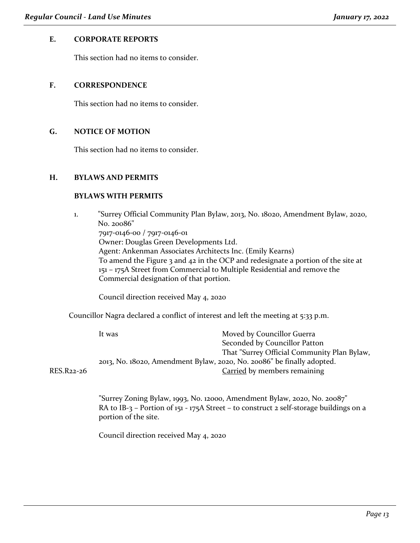### **E. CORPORATE REPORTS**

This section had no items to consider.

### **F. CORRESPONDENCE**

This section had no items to consider.

### **G. NOTICE OF MOTION**

This section had no items to consider.

### **H. BYLAWS AND PERMITS**

### **BYLAWS WITH PERMITS**

1. "Surrey Official Community Plan Bylaw, 2013, No. 18020, Amendment Bylaw, 2020, No. 20086" 7917-0146-00 / 7917-0146-01 Owner: Douglas Green Developments Ltd. Agent: Ankenman Associates Architects Inc. (Emily Kearns) To amend the Figure 3 and 42 in the OCP and redesignate a portion of the site at 151 – 175A Street from Commercial to Multiple Residential and remove the Commercial designation of that portion.

Council direction received May 4, 2020

Councillor Nagra declared a conflict of interest and left the meeting at 5:33 p.m.

It was Moved by Councillor Guerra Seconded by Councillor Patton That "Surrey Official Community Plan Bylaw, 2013, No. 18020, Amendment Bylaw, 2020, No. 20086" be finally adopted. RES.R22-26 Carried by members remaining

"Surrey Zoning Bylaw, 1993, No. 12000, Amendment Bylaw, 2020, No. 20087" RA to IB-3 – Portion of 151 - 175A Street – to construct 2 self-storage buildings on a portion of the site.

Council direction received May 4, 2020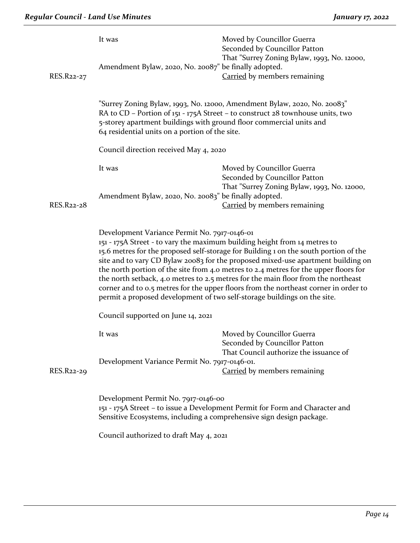| RES.R22-27 | It was<br>Amendment Bylaw, 2020, No. 20087" be finally adopted.                                                                                                                                                                                                                                                                                                                                                                                                                                                                                                                                                                                       | Moved by Councillor Guerra<br>Seconded by Councillor Patton<br>That "Surrey Zoning Bylaw, 1993, No. 12000,<br>Carried by members remaining |  |  |
|------------|-------------------------------------------------------------------------------------------------------------------------------------------------------------------------------------------------------------------------------------------------------------------------------------------------------------------------------------------------------------------------------------------------------------------------------------------------------------------------------------------------------------------------------------------------------------------------------------------------------------------------------------------------------|--------------------------------------------------------------------------------------------------------------------------------------------|--|--|
|            | "Surrey Zoning Bylaw, 1993, No. 12000, Amendment Bylaw, 2020, No. 20083"<br>RA to CD - Portion of 151 - 175A Street - to construct 28 townhouse units, two<br>5-storey apartment buildings with ground floor commercial units and<br>64 residential units on a portion of the site.                                                                                                                                                                                                                                                                                                                                                                   |                                                                                                                                            |  |  |
|            | Council direction received May 4, 2020                                                                                                                                                                                                                                                                                                                                                                                                                                                                                                                                                                                                                |                                                                                                                                            |  |  |
|            | It was                                                                                                                                                                                                                                                                                                                                                                                                                                                                                                                                                                                                                                                | Moved by Councillor Guerra<br>Seconded by Councillor Patton                                                                                |  |  |
| RES.R22-28 | Amendment Bylaw, 2020, No. 20083" be finally adopted.                                                                                                                                                                                                                                                                                                                                                                                                                                                                                                                                                                                                 | That "Surrey Zoning Bylaw, 1993, No. 12000,<br><b>Carried</b> by members remaining                                                         |  |  |
|            | Development Variance Permit No. 7917-0146-01<br>151 - 175A Street - to vary the maximum building height from 14 metres to<br>15.6 metres for the proposed self-storage for Building 1 on the south portion of the<br>site and to vary CD Bylaw 20083 for the proposed mixed-use apartment building on<br>the north portion of the site from 4.0 metres to 2.4 metres for the upper floors for<br>the north setback, 4.0 metres to 2.5 metres for the main floor from the northeast<br>corner and to 0.5 metres for the upper floors from the northeast corner in order to<br>permit a proposed development of two self-storage buildings on the site. |                                                                                                                                            |  |  |
|            | Council supported on June 14, 2021                                                                                                                                                                                                                                                                                                                                                                                                                                                                                                                                                                                                                    |                                                                                                                                            |  |  |
| RES.R22-29 | It was<br>Development Variance Permit No. 7917-0146-01.                                                                                                                                                                                                                                                                                                                                                                                                                                                                                                                                                                                               | Moved by Councillor Guerra<br>Seconded by Councillor Patton<br>That Council authorize the issuance of                                      |  |  |
|            |                                                                                                                                                                                                                                                                                                                                                                                                                                                                                                                                                                                                                                                       | Carried by members remaining                                                                                                               |  |  |
|            | Development Permit No. 7917-0146-00<br>151 - 175A Street – to issue a Development Permit for Form and Character and<br>Sensitive Ecosystems, including a comprehensive sign design package.                                                                                                                                                                                                                                                                                                                                                                                                                                                           |                                                                                                                                            |  |  |
|            | Council authorized to draft May 4, 2021                                                                                                                                                                                                                                                                                                                                                                                                                                                                                                                                                                                                               |                                                                                                                                            |  |  |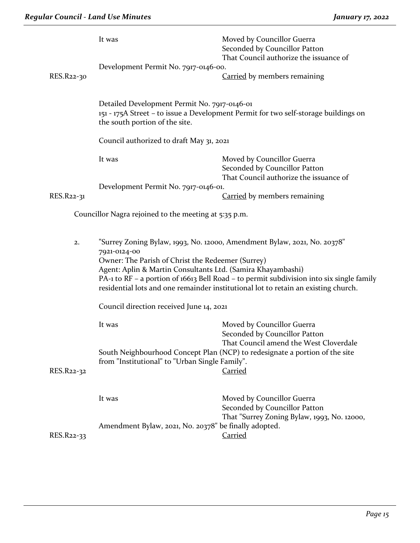|            | It was<br>Development Permit No. 7917-0146-00.                                                                                                                                                                                                                                                                                                                                                 | Moved by Councillor Guerra<br>Seconded by Councillor Patton<br>That Council authorize the issuance of      |  |
|------------|------------------------------------------------------------------------------------------------------------------------------------------------------------------------------------------------------------------------------------------------------------------------------------------------------------------------------------------------------------------------------------------------|------------------------------------------------------------------------------------------------------------|--|
| RES.R22-30 |                                                                                                                                                                                                                                                                                                                                                                                                | Carried by members remaining                                                                               |  |
|            | Detailed Development Permit No. 7917-0146-01<br>the south portion of the site.                                                                                                                                                                                                                                                                                                                 | 151 - 175A Street – to issue a Development Permit for two self-storage buildings on                        |  |
|            | Council authorized to draft May 31, 2021                                                                                                                                                                                                                                                                                                                                                       |                                                                                                            |  |
|            | It was                                                                                                                                                                                                                                                                                                                                                                                         | Moved by Councillor Guerra<br>Seconded by Councillor Patton<br>That Council authorize the issuance of      |  |
|            | Development Permit No. 7917-0146-01.                                                                                                                                                                                                                                                                                                                                                           |                                                                                                            |  |
| RES.R22-31 |                                                                                                                                                                                                                                                                                                                                                                                                | <b>Carried</b> by members remaining                                                                        |  |
|            | Councillor Nagra rejoined to the meeting at 5:35 p.m.                                                                                                                                                                                                                                                                                                                                          |                                                                                                            |  |
| 2.         | "Surrey Zoning Bylaw, 1993, No. 12000, Amendment Bylaw, 2021, No. 20378"<br>7921-0124-00<br>Owner: The Parish of Christ the Redeemer (Surrey)<br>Agent: Aplin & Martin Consultants Ltd. (Samira Khayambashi)<br>PA-1 to RF - a portion of 16613 Bell Road - to permit subdivision into six single family<br>residential lots and one remainder institutional lot to retain an existing church. |                                                                                                            |  |
|            |                                                                                                                                                                                                                                                                                                                                                                                                |                                                                                                            |  |
|            | Council direction received June 14, 2021                                                                                                                                                                                                                                                                                                                                                       |                                                                                                            |  |
|            | It was                                                                                                                                                                                                                                                                                                                                                                                         | Moved by Councillor Guerra<br>Seconded by Councillor Patton<br>That Council amend the West Cloverdale      |  |
| RES.R22-32 | South Neighbourhood Concept Plan (NCP) to redesignate a portion of the site<br>from "Institutional" to "Urban Single Family".<br><b>Carried</b>                                                                                                                                                                                                                                                |                                                                                                            |  |
|            | It was                                                                                                                                                                                                                                                                                                                                                                                         | Moved by Councillor Guerra<br>Seconded by Councillor Patton<br>That "Surrey Zoning Bylaw, 1993, No. 12000, |  |
|            | Amendment Bylaw, 2021, No. 20378" be finally adopted.                                                                                                                                                                                                                                                                                                                                          |                                                                                                            |  |
| RES.R22-33 |                                                                                                                                                                                                                                                                                                                                                                                                | <b>Carried</b>                                                                                             |  |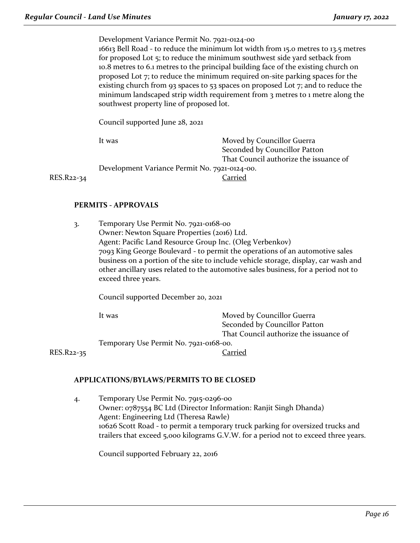Development Variance Permit No. 7921-0124-00 16613 Bell Road - to reduce the minimum lot width from 15.0 metres to 13.5 metres for proposed Lot 5; to reduce the minimum southwest side yard setback from 10.8 metres to 6.1 metres to the principal building face of the existing church on proposed Lot 7; to reduce the minimum required on-site parking spaces for the existing church from 93 spaces to 53 spaces on proposed Lot 7; and to reduce the minimum landscaped strip width requirement from 3 metres to 1 metre along the southwest property line of proposed lot.

Council supported June 28, 2021

It was **Moved by Councillor Guerra** Seconded by Councillor Patton That Council authorize the issuance of Development Variance Permit No. 7921-0124-00. RES.R22-34 Carried

### **PERMITS - APPROVALS**

3. Temporary Use Permit No. 7921-0168-00 Owner: Newton Square Properties (2016) Ltd. Agent: Pacific Land Resource Group Inc. (Oleg Verbenkov) 7093 King George Boulevard - to permit the operations of an automotive sales business on a portion of the site to include vehicle storage, display, car wash and other ancillary uses related to the automotive sales business, for a period not to exceed three years.

Council supported December 20, 2021

It was **Moved by Councillor Guerra** Seconded by Councillor Patton That Council authorize the issuance of Temporary Use Permit No. 7921-0168-00. RES.R22-35 Carried

### **APPLICATIONS/BYLAWS/PERMITS TO BE CLOSED**

4. Temporary Use Permit No. 7915-0296-00 Owner: 0787554 BC Ltd (Director Information: Ranjit Singh Dhanda) Agent: Engineering Ltd (Theresa Rawle) 10626 Scott Road - to permit a temporary truck parking for oversized trucks and trailers that exceed 5,000 kilograms G.V.W. for a period not to exceed three years.

Council supported February 22, 2016